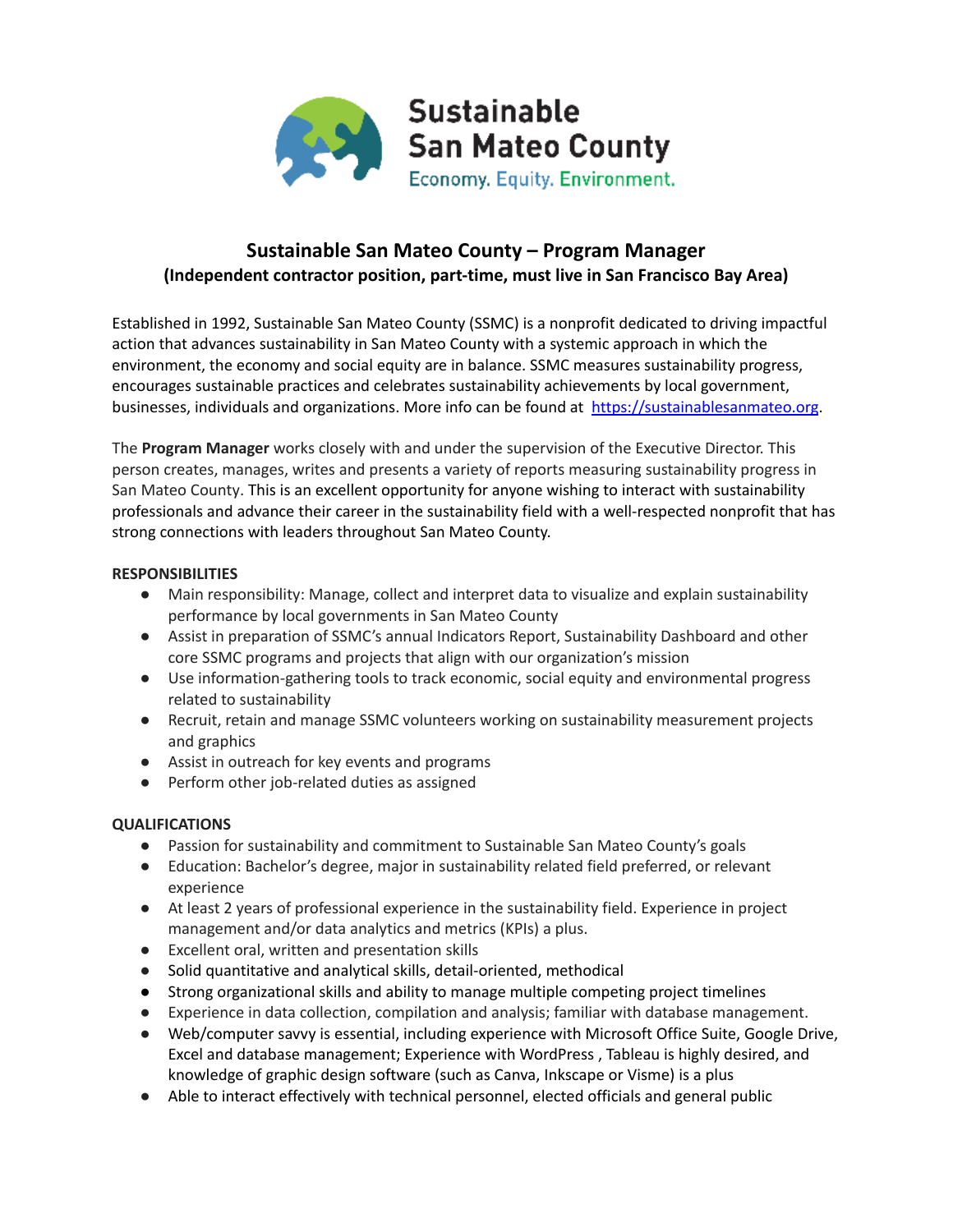

## **Sustainable San Mateo County – Program Manager (Independent contractor position, part-time, must live in San Francisco Bay Area)**

Established in 1992, Sustainable San Mateo County (SSMC) is a nonprofit dedicated to driving impactful action that advances sustainability in San Mateo County with a systemic approach in which the environment, the economy and social equity are in balance. SSMC measures sustainability progress, encourages sustainable practices and celebrates sustainability achievements by local government, businesses, individuals and organizations. More info can be found at https://sustainablesanmateo.org.

The **Program Manager** works closely with and under the supervision of the Executive Director. This person creates, manages, writes and presents a variety of reports measuring sustainability progress in San Mateo County. This is an excellent opportunity for anyone wishing to interact with sustainability professionals and advance their career in the sustainability field with a well-respected nonprofit that has strong connections with leaders throughout San Mateo County.

## **RESPONSIBILITIES**

- Main responsibility: Manage, collect and interpret data to visualize and explain sustainability performance by local governments in San Mateo County
- Assist in preparation of SSMC's annual Indicators Report, Sustainability Dashboard and other core SSMC programs and projects that align with our organization's mission
- Use information-gathering tools to track economic, social equity and environmental progress related to sustainability
- Recruit, retain and manage SSMC volunteers working on sustainability measurement projects and graphics
- Assist in outreach for key events and programs
- Perform other job-related duties as assigned

## **QUALIFICATIONS**

- Passion for sustainability and commitment to Sustainable San Mateo County's goals
- Education: Bachelor's degree, major in sustainability related field preferred, or relevant experience
- At least 2 years of professional experience in the sustainability field. Experience in project management and/or data analytics and metrics (KPIs) a plus.
- Excellent oral, written and presentation skills
- Solid quantitative and analytical skills, detail-oriented, methodical
- Strong organizational skills and ability to manage multiple competing project timelines
- Experience in data collection, compilation and analysis; familiar with database management.
- Web/computer savvy is essential, including experience with Microsoft Office Suite, Google Drive, Excel and database management; Experience with WordPress , Tableau is highly desired, and knowledge of graphic design software (such as Canva, Inkscape or Visme) is a plus
- Able to interact effectively with technical personnel, elected officials and general public